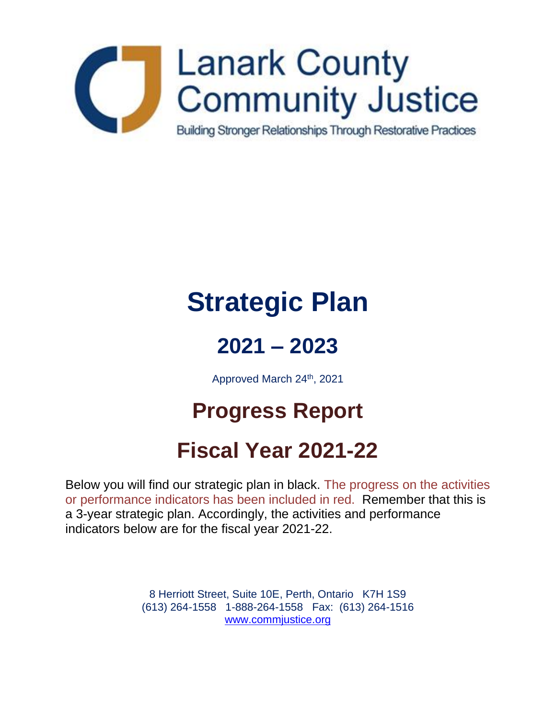

# **Strategic Plan**

## **2021 – 2023**

Approved March 24th, 2021

## **Progress Report**

## **Fiscal Year 2021-22**

Below you will find our strategic plan in black. The progress on the activities or performance indicators has been included in red. Remember that this is a 3-year strategic plan. Accordingly, the activities and performance indicators below are for the fiscal year 2021-22.

> 8 Herriott Street, Suite 10E, Perth, Ontario K7H 1S9 (613) 264-1558 1-888-264-1558 Fax: (613) 264-1516 [www.commjustice.org](http://www.commjustice.org/)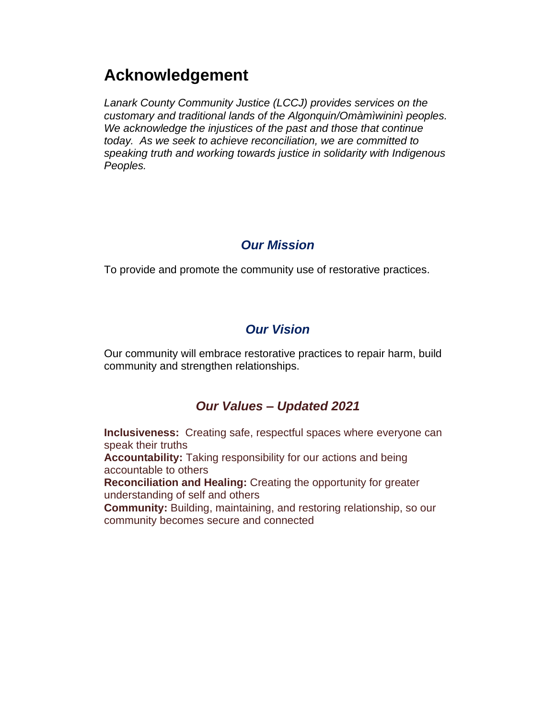### **Acknowledgement**

*Lanark County Community Justice (LCCJ) provides services on the customary and traditional lands of the Algonquin/Omàmìwininì peoples. We acknowledge the injustices of the past and those that continue today. As we seek to achieve reconciliation, we are committed to speaking truth and working towards justice in solidarity with Indigenous Peoples.*

#### *Our Mission*

To provide and promote the community use of restorative practices.

#### *Our Vision*

Our community will embrace restorative practices to repair harm, build community and strengthen relationships.

#### *Our Values – Updated 2021*

**Inclusiveness:** Creating safe, respectful spaces where everyone can speak their truths **Accountability:** Taking responsibility for our actions and being accountable to others **Reconciliation and Healing:** Creating the opportunity for greater understanding of self and others **Community:** Building, maintaining, and restoring relationship, so our community becomes secure and connected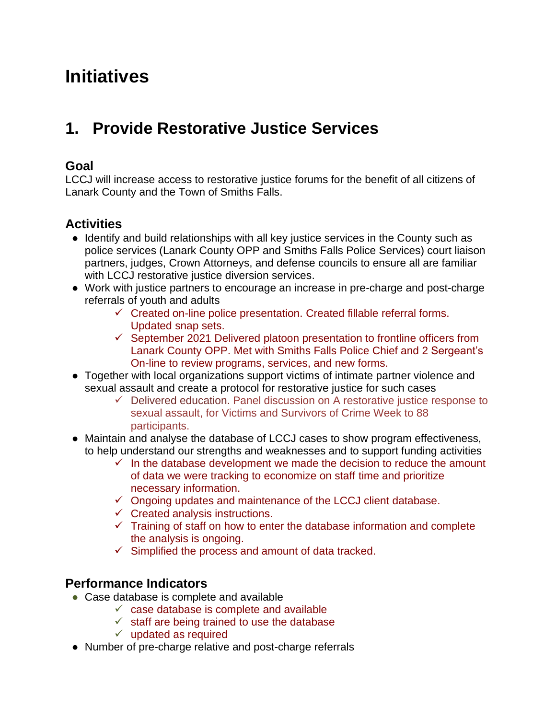## **Initiatives**

## **1. Provide Restorative Justice Services**

#### **Goal**

LCCJ will increase access to restorative justice forums for the benefit of all citizens of Lanark County and the Town of Smiths Falls.

#### **Activities**

- Identify and build relationships with all key justice services in the County such as police services (Lanark County OPP and Smiths Falls Police Services) court liaison partners, judges, Crown Attorneys, and defense councils to ensure all are familiar with LCCJ restorative justice diversion services.
- Work with justice partners to encourage an increase in pre-charge and post-charge referrals of youth and adults
	- ✓ Created on-line police presentation. Created fillable referral forms. Updated snap sets.
	- ✓ September 2021 Delivered platoon presentation to frontline officers from Lanark County OPP. Met with Smiths Falls Police Chief and 2 Sergeant's On-line to review programs, services, and new forms.
- Together with local organizations support victims of intimate partner violence and sexual assault and create a protocol for restorative justice for such cases
	- $\checkmark$  Delivered education. Panel discussion on A restorative justice response to sexual assault, for Victims and Survivors of Crime Week to 88 participants.
- Maintain and analyse the database of LCCJ cases to show program effectiveness, to help understand our strengths and weaknesses and to support funding activities
	- $\checkmark$  In the database development we made the decision to reduce the amount of data we were tracking to economize on staff time and prioritize necessary information.
	- $\checkmark$  Ongoing updates and maintenance of the LCCJ client database.
	- $\checkmark$  Created analysis instructions.
	- ✓ Training of staff on how to enter the database information and complete the analysis is ongoing.
	- $\checkmark$  Simplified the process and amount of data tracked.

#### **Performance Indicators**

- Case database is complete and available
	- $\checkmark$  case database is complete and available
	- $\checkmark$  staff are being trained to use the database
	- $\checkmark$  updated as required
- Number of pre-charge relative and post-charge referrals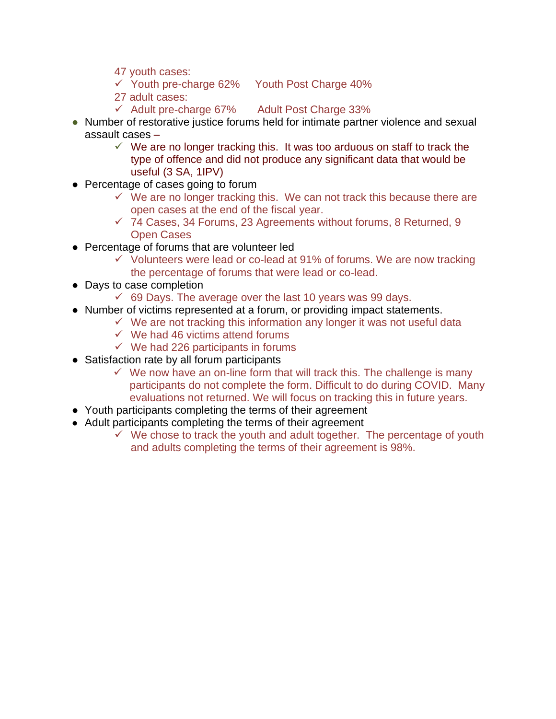- 47 youth cases:
- ✓ Youth pre-charge 62% Youth Post Charge 40%
- 27 adult cases:
- $\checkmark$  Adult pre-charge 67% Adult Post Charge 33%
- Number of restorative justice forums held for intimate partner violence and sexual assault cases –
	- $\checkmark$  We are no longer tracking this. It was too arduous on staff to track the type of offence and did not produce any significant data that would be useful (3 SA, 1IPV)
- Percentage of cases going to forum
	- $\checkmark$  We are no longer tracking this. We can not track this because there are open cases at the end of the fiscal year.
	- $\checkmark$  74 Cases, 34 Forums, 23 Agreements without forums, 8 Returned, 9 Open Cases
- Percentage of forums that are volunteer led
	- $\checkmark$  Volunteers were lead or co-lead at 91% of forums. We are now tracking the percentage of forums that were lead or co-lead.
- Days to case completion
	- $\checkmark$  69 Days. The average over the last 10 years was 99 days.
- Number of victims represented at a forum, or providing impact statements.
	- $\checkmark$  We are not tracking this information any longer it was not useful data
	- $\checkmark$  We had 46 victims attend forums
	- $\checkmark$  We had 226 participants in forums
- Satisfaction rate by all forum participants
	- $\checkmark$  We now have an on-line form that will track this. The challenge is many participants do not complete the form. Difficult to do during COVID. Many evaluations not returned. We will focus on tracking this in future years.
- Youth participants completing the terms of their agreement
- Adult participants completing the terms of their agreement
	- $\checkmark$  We chose to track the youth and adult together. The percentage of youth and adults completing the terms of their agreement is 98%.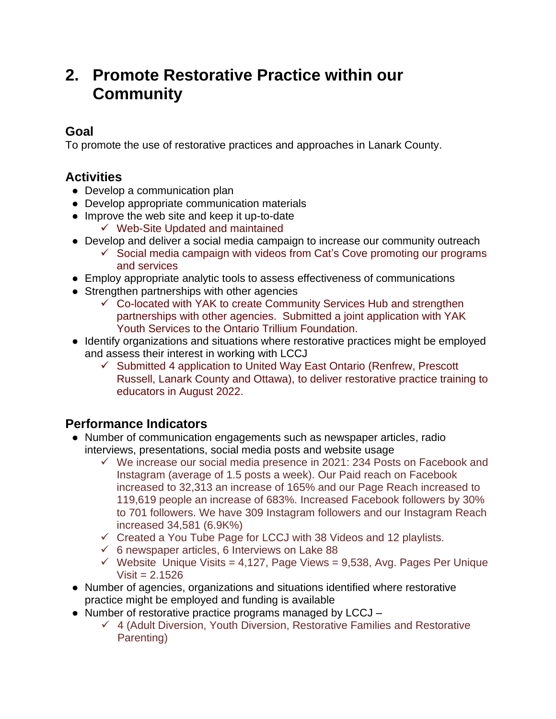### **2. Promote Restorative Practice within our Community**

#### **Goal**

To promote the use of restorative practices and approaches in Lanark County.

#### **Activities**

- Develop a communication plan
- Develop appropriate communication materials
- Improve the web site and keep it up-to-date
	- ✓ Web-Site Updated and maintained
- Develop and deliver a social media campaign to increase our community outreach
	- $\checkmark$  Social media campaign with videos from Cat's Cove promoting our programs and services
- Employ appropriate analytic tools to assess effectiveness of communications
- Strengthen partnerships with other agencies
	- $\checkmark$  Co-located with YAK to create Community Services Hub and strengthen partnerships with other agencies. Submitted a joint application with YAK Youth Services to the Ontario Trillium Foundation.
- Identify organizations and situations where restorative practices might be employed and assess their interest in working with LCCJ
	- ✓ Submitted 4 application to United Way East Ontario (Renfrew, Prescott Russell, Lanark County and Ottawa), to deliver restorative practice training to educators in August 2022.

#### **Performance Indicators**

- Number of communication engagements such as newspaper articles, radio interviews, presentations, social media posts and website usage
	- ✓ We increase our social media presence in 2021: 234 Posts on Facebook and Instagram (average of 1.5 posts a week). Our Paid reach on Facebook increased to 32,313 an increase of 165% and our Page Reach increased to 119,619 people an increase of 683%. Increased Facebook followers by 30% to 701 followers. We have 309 Instagram followers and our Instagram Reach increased 34,581 (6.9K%)
	- $\checkmark$  Created a You Tube Page for LCCJ with 38 Videos and 12 playlists.
	- $\checkmark$  6 newspaper articles, 6 Interviews on Lake 88
	- $\checkmark$  Website Unique Visits = 4,127, Page Views = 9,538, Avg. Pages Per Unique  $Visit = 2.1526$
- Number of agencies, organizations and situations identified where restorative practice might be employed and funding is available
- Number of restorative practice programs managed by LCCJ
	- ✓ 4 (Adult Diversion, Youth Diversion, Restorative Families and Restorative Parenting)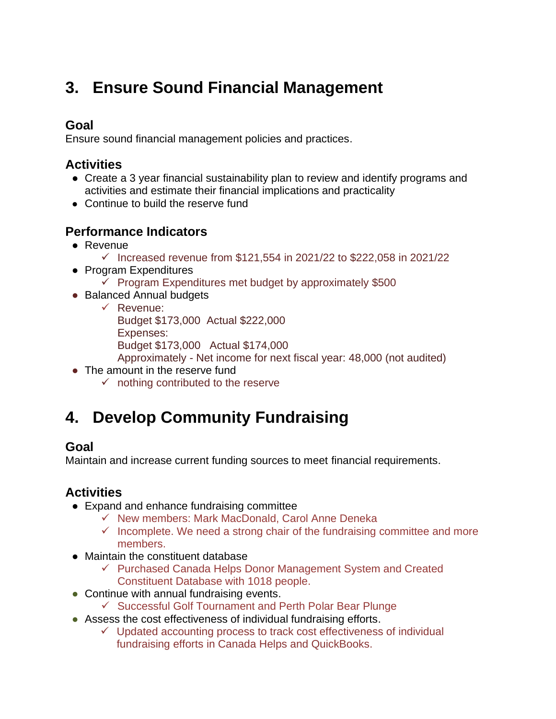## **3. Ensure Sound Financial Management**

#### **Goal**

Ensure sound financial management policies and practices.

#### **Activities**

- Create a 3 year financial sustainability plan to review and identify programs and activities and estimate their financial implications and practicality
- Continue to build the reserve fund

#### **Performance Indicators**

- Revenue
	- ✓ Increased revenue from \$121,554 in 2021/22 to \$222,058 in 2021/22
- Program Expenditures
	- ✓ Program Expenditures met budget by approximately \$500
- Balanced Annual budgets
	- ✓ Revenue: Budget \$173,000 Actual \$222,000 Expenses: Budget \$173,000 Actual \$174,000
	- Approximately Net income for next fiscal year: 48,000 (not audited)
- The amount in the reserve fund
	- $\checkmark$  nothing contributed to the reserve

## **4. Develop Community Fundraising**

#### **Goal**

Maintain and increase current funding sources to meet financial requirements.

#### **Activities**

- Expand and enhance fundraising committee
	- ✓ New members: Mark MacDonald, Carol Anne Deneka
	- $\checkmark$  Incomplete. We need a strong chair of the fundraising committee and more members.
- Maintain the constituent database
	- ✓ Purchased Canada Helps Donor Management System and Created Constituent Database with 1018 people.
- Continue with annual fundraising events.
	- ✓ Successful Golf Tournament and Perth Polar Bear Plunge
- Assess the cost effectiveness of individual fundraising efforts.
	- $\checkmark$  Updated accounting process to track cost effectiveness of individual fundraising efforts in Canada Helps and QuickBooks.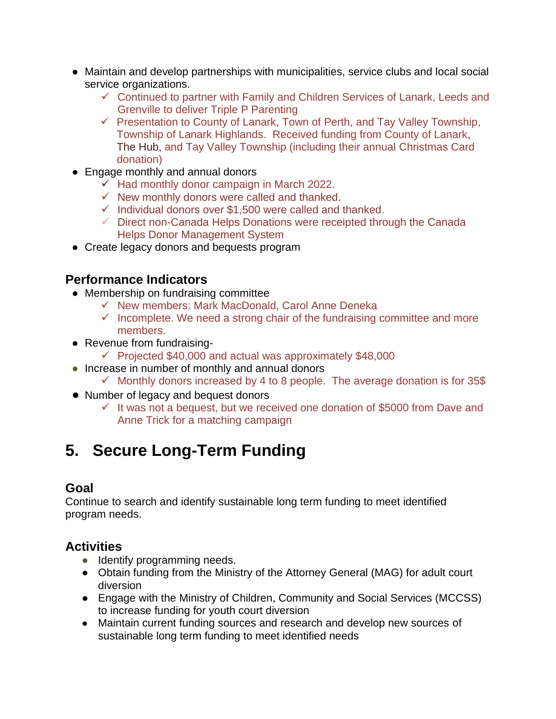- Maintain and develop partnerships with municipalities, service clubs and local social service organizations.
	- ✓ Continued to partner with Family and Children Services of Lanark, Leeds and Grenville to deliver Triple P Parenting
	- $\checkmark$  Presentation to County of Lanark, Town of Perth, and Tay Valley Township, Township of Lanark Highlands. Received funding from County of Lanark, The Hub, and Tay Valley Township (including their annual Christmas Card donation)
- Engage monthly and annual donors
	- $\checkmark$  Had monthly donor campaign in March 2022.
	- $\checkmark$  New monthly donors were called and thanked.
	- $\checkmark$  Individual donors over \$1,500 were called and thanked.
	- $\checkmark$  Direct non-Canada Helps Donations were receipted through the Canada Helps Donor Management System
- Create legacy donors and bequests program

#### **Performance Indicators**

- Membership on fundraising committee
	- ✓ New members: Mark MacDonald, Carol Anne Deneka
	- $\checkmark$  Incomplete. We need a strong chair of the fundraising committee and more members.
- Revenue from fundraising-
	- ✓ Projected \$40,000 and actual was approximately \$48,000
- Increase in number of monthly and annual donors
	- $\checkmark$  Monthly donors increased by 4 to 8 people. The average donation is for 35\$
- Number of legacy and bequest donors
	- $\checkmark$  It was not a bequest, but we received one donation of \$5000 from Dave and Anne Trick for a matching campaign

## **5. Secure Long-Term Funding**

#### **Goal**

Continue to search and identify sustainable long term funding to meet identified program needs.

#### **Activities**

- Identify programming needs.
- Obtain funding from the Ministry of the Attorney General (MAG) for adult court diversion
- Engage with the Ministry of Children, Community and Social Services (MCCSS) to increase funding for youth court diversion
- Maintain current funding sources and research and develop new sources of sustainable long term funding to meet identified needs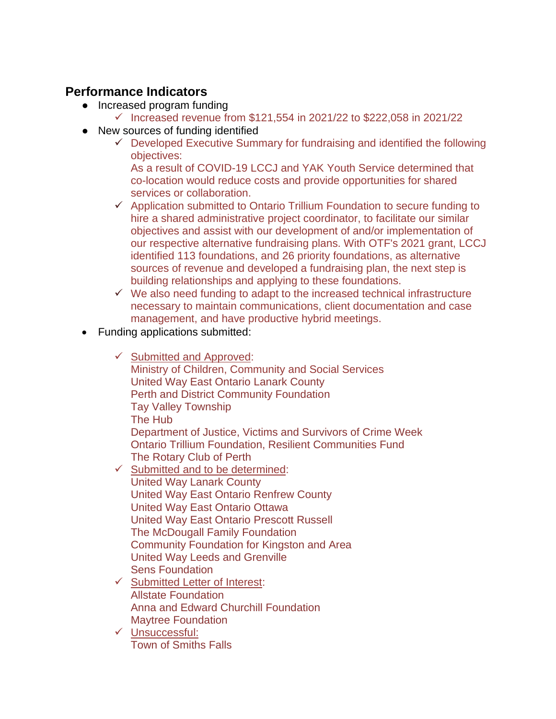#### **Performance Indicators**

- Increased program funding
	- ✓ Increased revenue from \$121,554 in 2021/22 to \$222,058 in 2021/22
- New sources of funding identified
	- $\checkmark$  Developed Executive Summary for fundraising and identified the following objectives:

As a result of COVID-19 LCCJ and YAK Youth Service determined that co-location would reduce costs and provide opportunities for shared services or collaboration.

- ✓ Application submitted to Ontario Trillium Foundation to secure funding to hire a shared administrative project coordinator, to facilitate our similar objectives and assist with our development of and/or implementation of our respective alternative fundraising plans. With OTF's 2021 grant, LCCJ identified 113 foundations, and 26 priority foundations, as alternative sources of revenue and developed a fundraising plan, the next step is building relationships and applying to these foundations.
- $\checkmark$  We also need funding to adapt to the increased technical infrastructure necessary to maintain communications, client documentation and case management, and have productive hybrid meetings.
- Funding applications submitted:
	- $\checkmark$  Submitted and Approved: Ministry of Children, Community and Social Services United Way East Ontario Lanark County Perth and District Community Foundation Tay Valley Township The Hub Department of Justice, Victims and Survivors of Crime Week Ontario Trillium Foundation, Resilient Communities Fund The Rotary Club of Perth ✓ Submitted and to be determined: United Way Lanark County United Way East Ontario Renfrew County United Way East Ontario Ottawa
		- United Way East Ontario Prescott Russell
		- The McDougall Family Foundation
		- Community Foundation for Kingston and Area
		- United Way Leeds and Grenville
		- Sens Foundation
	- ✓ Submitted Letter of Interest: Allstate Foundation Anna and Edward Churchill Foundation Maytree Foundation
	- ✓ Unsuccessful: Town of Smiths Falls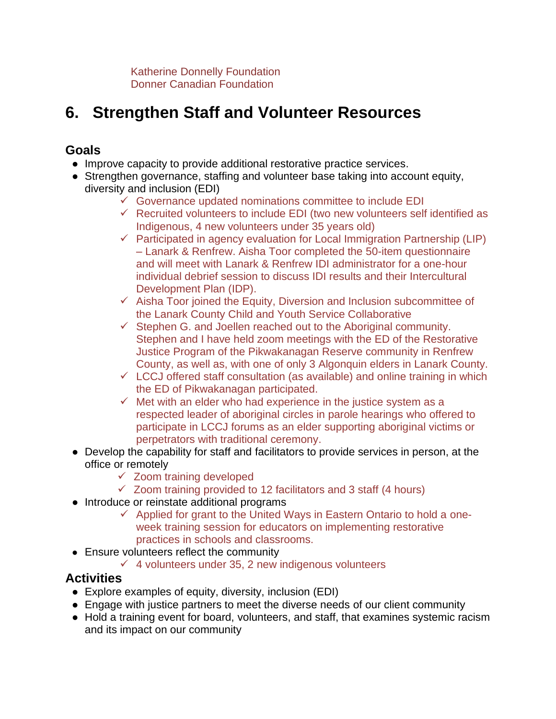Katherine Donnelly Foundation Donner Canadian Foundation

## **6. Strengthen Staff and Volunteer Resources**

#### **Goals**

- Improve capacity to provide additional restorative practice services.
- Strengthen governance, staffing and volunteer base taking into account equity, diversity and inclusion (EDI)
	- $\checkmark$  Governance updated nominations committee to include EDI
	- ✓ Recruited volunteers to include EDI (two new volunteers self identified as Indigenous, 4 new volunteers under 35 years old)
	- $\checkmark$  Participated in agency evaluation for Local Immigration Partnership (LIP) – Lanark & Renfrew. Aisha Toor completed the 50-item questionnaire and will meet with Lanark & Renfrew IDI administrator for a one-hour individual debrief session to discuss IDI results and their Intercultural Development Plan (IDP).
	- ✓ Aisha Toor joined the Equity, Diversion and Inclusion subcommittee of the Lanark County Child and Youth Service Collaborative
	- $\checkmark$  Stephen G. and Joellen reached out to the Aboriginal community. Stephen and I have held zoom meetings with the ED of the Restorative Justice Program of the Pikwakanagan Reserve community in Renfrew County, as well as, with one of only 3 Algonquin elders in Lanark County.
	- $\checkmark$  LCCJ offered staff consultation (as available) and online training in which the ED of Pikwakanagan participated.
	- $\checkmark$  Met with an elder who had experience in the justice system as a respected leader of aboriginal circles in parole hearings who offered to participate in LCCJ forums as an elder supporting aboriginal victims or perpetrators with traditional ceremony.
- Develop the capability for staff and facilitators to provide services in person, at the office or remotely
	- $\checkmark$  Zoom training developed
	- $\checkmark$  Zoom training provided to 12 facilitators and 3 staff (4 hours)
- Introduce or reinstate additional programs
	- ✓ Applied for grant to the United Ways in Eastern Ontario to hold a oneweek training session for educators on implementing restorative practices in schools and classrooms.
- Ensure volunteers reflect the community
	- $\checkmark$  4 volunteers under 35, 2 new indigenous volunteers

#### **Activities**

- Explore examples of equity, diversity, inclusion (EDI)
- Engage with justice partners to meet the diverse needs of our client community
- Hold a training event for board, volunteers, and staff, that examines systemic racism and its impact on our community